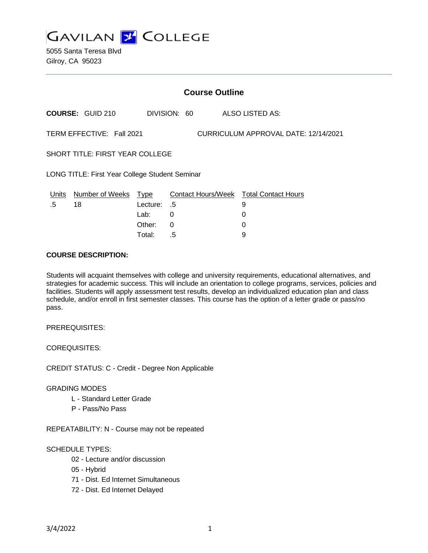

5055 Santa Teresa Blvd Gilroy, CA 95023

|                                                                   | <b>Course Outline</b>      |             |              |  |                                               |
|-------------------------------------------------------------------|----------------------------|-------------|--------------|--|-----------------------------------------------|
|                                                                   | <b>COURSE: GUID 210</b>    |             | DIVISION: 60 |  | <b>ALSO LISTED AS:</b>                        |
| TERM EFFECTIVE: Fall 2021<br>CURRICULUM APPROVAL DATE: 12/14/2021 |                            |             |              |  |                                               |
| <b>SHORT TITLE: FIRST YEAR COLLEGE</b>                            |                            |             |              |  |                                               |
| <b>LONG TITLE: First Year College Student Seminar</b>             |                            |             |              |  |                                               |
|                                                                   | Units Number of Weeks Type |             |              |  | <b>Contact Hours/Week Total Contact Hours</b> |
| .5                                                                | 18                         | Lecture: .5 |              |  | 9                                             |
|                                                                   |                            | Lab:        | 0            |  | 0                                             |
|                                                                   |                            | Other:      | 0            |  | 0                                             |
|                                                                   |                            | Total:      | .5           |  | 9                                             |

#### **COURSE DESCRIPTION:**

Students will acquaint themselves with college and university requirements, educational alternatives, and strategies for academic success. This will include an orientation to college programs, services, policies and facilities. Students will apply assessment test results, develop an individualized education plan and class schedule, and/or enroll in first semester classes. This course has the option of a letter grade or pass/no pass.

PREREQUISITES:

COREQUISITES:

CREDIT STATUS: C - Credit - Degree Non Applicable

#### GRADING MODES

- L Standard Letter Grade
- P Pass/No Pass

REPEATABILITY: N - Course may not be repeated

### SCHEDULE TYPES:

- 02 Lecture and/or discussion
- 05 Hybrid
- 71 Dist. Ed Internet Simultaneous
- 72 Dist. Ed Internet Delayed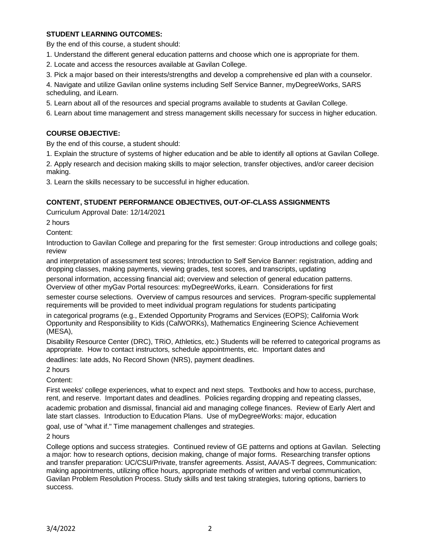### **STUDENT LEARNING OUTCOMES:**

By the end of this course, a student should:

1. Understand the different general education patterns and choose which one is appropriate for them.

2. Locate and access the resources available at Gavilan College.

3. Pick a major based on their interests/strengths and develop a comprehensive ed plan with a counselor.

4. Navigate and utilize Gavilan online systems including Self Service Banner, myDegreeWorks, SARS scheduling, and iLearn.

5. Learn about all of the resources and special programs available to students at Gavilan College.

6. Learn about time management and stress management skills necessary for success in higher education.

## **COURSE OBJECTIVE:**

By the end of this course, a student should:

1. Explain the structure of systems of higher education and be able to identify all options at Gavilan College.

2. Apply research and decision making skills to major selection, transfer objectives, and/or career decision making.

3. Learn the skills necessary to be successful in higher education.

### **CONTENT, STUDENT PERFORMANCE OBJECTIVES, OUT-OF-CLASS ASSIGNMENTS**

Curriculum Approval Date: 12/14/2021

2 hours

Content:

Introduction to Gavilan College and preparing for the first semester: Group introductions and college goals; review

and interpretation of assessment test scores; Introduction to Self Service Banner: registration, adding and dropping classes, making payments, viewing grades, test scores, and transcripts, updating

personal information, accessing financial aid; overview and selection of general education patterns. Overview of other myGav Portal resources: myDegreeWorks, iLearn. Considerations for first

semester course selections. Overview of campus resources and services. Program-specific supplemental requirements will be provided to meet individual program regulations for students participating

in categorical programs (e.g., Extended Opportunity Programs and Services (EOPS); California Work Opportunity and Responsibility to Kids (CalWORKs), Mathematics Engineering Science Achievement (MESA),

Disability Resource Center (DRC), TRiO, Athletics, etc.) Students will be referred to categorical programs as appropriate. How to contact instructors, schedule appointments, etc. Important dates and

deadlines: late adds, No Record Shown (NRS), payment deadlines.

2 hours

Content:

First weeks' college experiences, what to expect and next steps. Textbooks and how to access, purchase, rent, and reserve. Important dates and deadlines. Policies regarding dropping and repeating classes,

academic probation and dismissal, financial aid and managing college finances. Review of Early Alert and late start classes. Introduction to Education Plans. Use of myDegreeWorks: major, education

goal, use of "what if." Time management challenges and strategies.

2 hours

College options and success strategies. Continued review of GE patterns and options at Gavilan. Selecting a major: how to research options, decision making, change of major forms. Researching transfer options and transfer preparation: UC/CSU/Private, transfer agreements. Assist, AA/AS-T degrees, Communication: making appointments, utilizing office hours, appropriate methods of written and verbal communication, Gavilan Problem Resolution Process. Study skills and test taking strategies, tutoring options, barriers to success.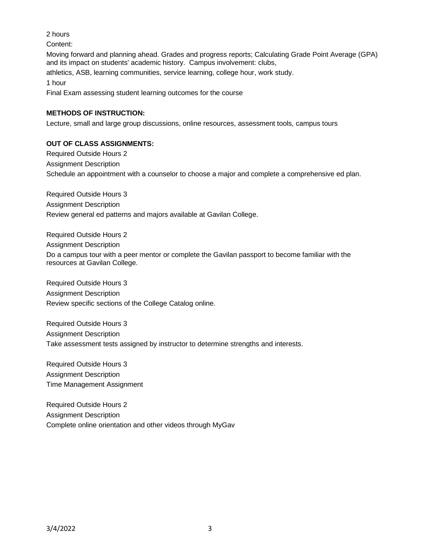### 2 hours

Content:

Moving forward and planning ahead. Grades and progress reports; Calculating Grade Point Average (GPA) and its impact on students' academic history. Campus involvement: clubs, athletics, ASB, learning communities, service learning, college hour, work study. 1 hour

Final Exam assessing student learning outcomes for the course

# **METHODS OF INSTRUCTION:**

Lecture, small and large group discussions, online resources, assessment tools, campus tours

# **OUT OF CLASS ASSIGNMENTS:**

Required Outside Hours 2 Assignment Description Schedule an appointment with a counselor to choose a major and complete a comprehensive ed plan.

Required Outside Hours 3 Assignment Description Review general ed patterns and majors available at Gavilan College.

Required Outside Hours 2

Assignment Description

Do a campus tour with a peer mentor or complete the Gavilan passport to become familiar with the resources at Gavilan College.

Required Outside Hours 3 Assignment Description Review specific sections of the College Catalog online.

Required Outside Hours 3 Assignment Description Take assessment tests assigned by instructor to determine strengths and interests.

Required Outside Hours 3 Assignment Description Time Management Assignment

Required Outside Hours 2 Assignment Description Complete online orientation and other videos through MyGav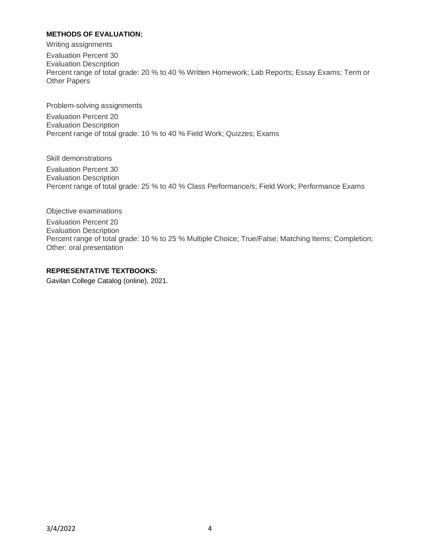### **METHODS OF EVALUATION:**

Writing assignments

Evaluation Percent 30 Evaluation Description Percent range of total grade: 20 % to 40 % Written Homework; Lab Reports; Essay Exams; Term or Other Papers

Problem-solving assignments Evaluation Percent 20 Evaluation Description Percent range of total grade: 10 % to 40 % Field Work; Quizzes; Exams

Skill demonstrations Evaluation Percent 30 Evaluation Description Percent range of total grade: 25 % to 40 % Class Performance/s; Field Work; Performance Exams

Objective examinations Evaluation Percent 20 Evaluation Description Percent range of total grade: 10 % to 25 % Multiple Choice; True/False; Matching Items; Completion; Other: oral presentation

#### **REPRESENTATIVE TEXTBOOKS:**

Gavilan College Catalog (online), 2021.